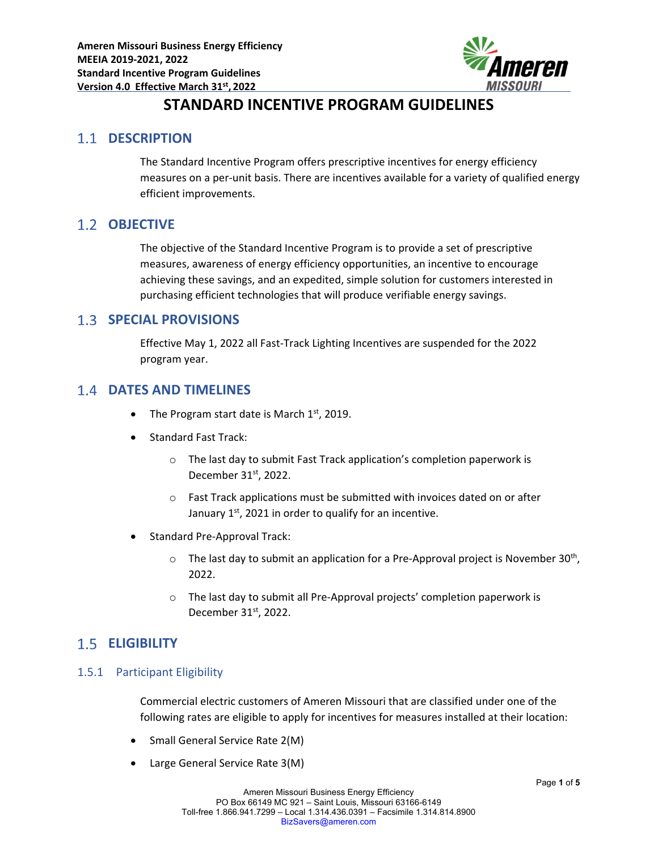

# **STANDARD INCENTIVE PROGRAM GUIDELINES**

### **1.1 DESCRIPTION**

The Standard Incentive Program offers prescriptive incentives for energy efficiency measures on a per-unit basis. There are incentives available for a variety of qualified energy efficient improvements.

### 1.2 **OBJECTIVE**

The objective of the Standard Incentive Program is to provide a set of prescriptive measures, awareness of energy efficiency opportunities, an incentive to encourage achieving these savings, and an expedited, simple solution for customers interested in purchasing efficient technologies that will produce verifiable energy savings.

### **SPECIAL PROVISIONS**

Effective May 1, 2022 all Fast‐Track Lighting Incentives are suspended for the 2022 program year.

### **DATES AND TIMELINES**

- The Program start date is March  $1<sup>st</sup>$ , 2019.
- Standard Fast Track:
	- o The last day to submit Fast Track application's completion paperwork is December 31<sup>st</sup>, 2022.
	- o Fast Track applications must be submitted with invoices dated on or after January  $1<sup>st</sup>$ , 2021 in order to qualify for an incentive.
- Standard Pre‐Approval Track:
	- $\circ$  The last day to submit an application for a Pre-Approval project is November 30<sup>th</sup>, 2022.
	- o The last day to submit all Pre‐Approval projects' completion paperwork is December 31<sup>st</sup>, 2022.

# **ELIGIBILITY**

### 1.5.1 Participant Eligibility

Commercial electric customers of Ameren Missouri that are classified under one of the following rates are eligible to apply for incentives for measures installed at their location:

- Small General Service Rate 2(M)
- Large General Service Rate 3(M)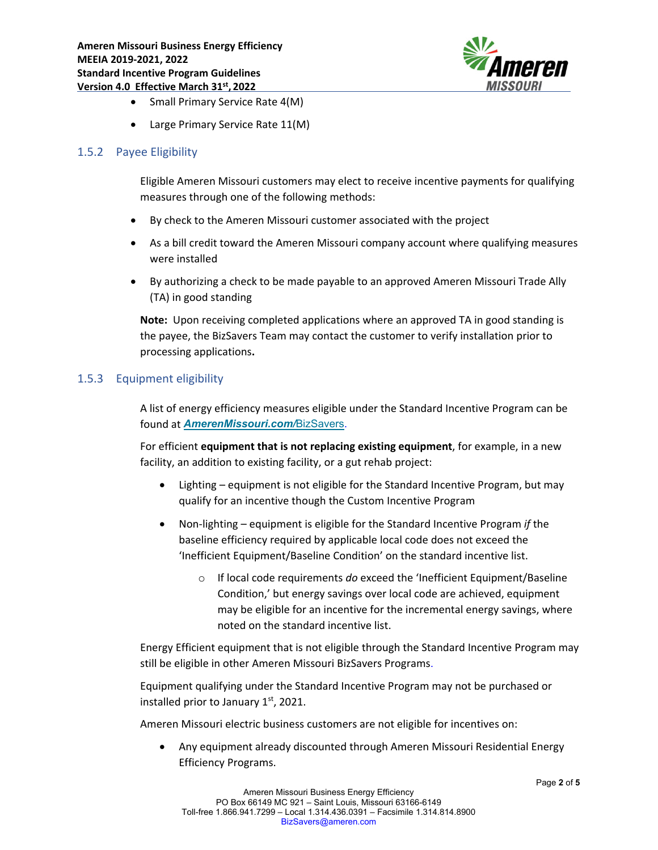

- Small Primary Service Rate 4(M)
- Large Primary Service Rate 11(M)

#### 1.5.2 Payee Eligibility

Eligible Ameren Missouri customers may elect to receive incentive payments for qualifying measures through one of the following methods:

- By check to the Ameren Missouri customer associated with the project
- As a bill credit toward the Ameren Missouri company account where qualifying measures were installed
- By authorizing a check to be made payable to an approved Ameren Missouri Trade Ally (TA) in good standing

**Note:** Upon receiving completed applications where an approved TA in good standing is the payee, the BizSavers Team may contact the customer to verify installation prior to processing applications**.**

#### 1.5.3 Equipment eligibility

A list of energy efficiency measures eligible under the Standard Incentive Program can be found at *AmerenMissouri.com/*BizSavers.

For efficient **equipment that is not replacing existing equipment**, for example, in a new facility, an addition to existing facility, or a gut rehab project:

- Lighting equipment is not eligible for the Standard Incentive Program, but may qualify for an incentive though the Custom Incentive Program
- Non‐lighting equipment is eligible for the Standard Incentive Program *if* the baseline efficiency required by applicable local code does not exceed the 'Inefficient Equipment/Baseline Condition' on the standard incentive list.
	- o If local code requirements *do* exceed the 'Inefficient Equipment/Baseline Condition,' but energy savings over local code are achieved, equipment may be eligible for an incentive for the incremental energy savings, where noted on the standard incentive list.

Energy Efficient equipment that is not eligible through the Standard Incentive Program may still be eligible in other Ameren Missouri BizSavers Programs.

Equipment qualifying under the Standard Incentive Program may not be purchased or installed prior to January  $1<sup>st</sup>$ , 2021.

Ameren Missouri electric business customers are not eligible for incentives on:

 Any equipment already discounted through Ameren Missouri Residential Energy Efficiency Programs.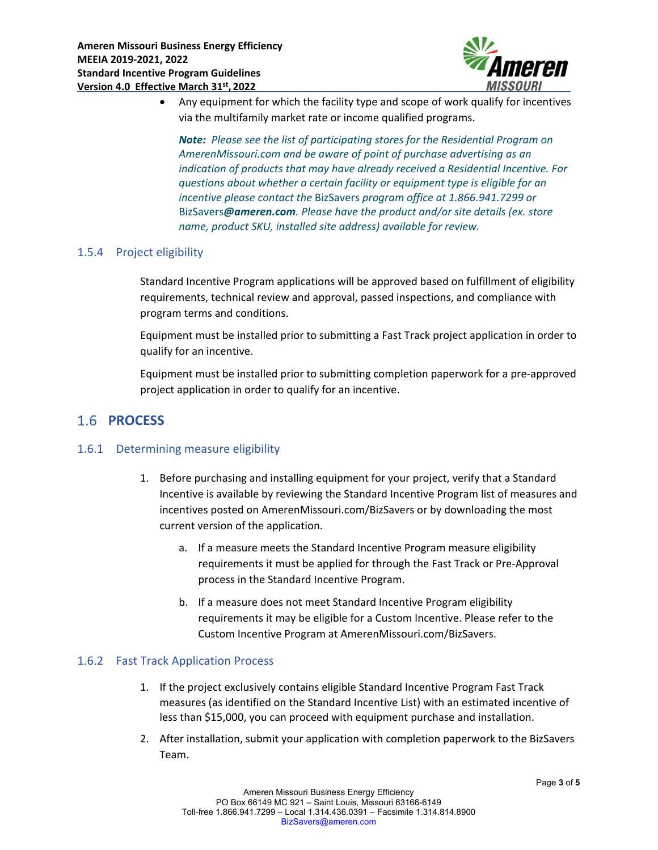

 Any equipment for which the facility type and scope of work qualify for incentives via the multifamily market rate or income qualified programs.

*Note: Please see the list of participating stores for the Residential Program on AmerenMissouri.com and be aware of point of purchase advertising as an indication of products that may have already received a Residential Incentive. For questions about whether a certain facility or equipment type is eligible for an incentive please contact the* BizSavers *program office at 1.866.941.7299 or* BizSavers*@ameren.com. Please have the product and/or site details (ex. store name, product SKU, installed site address) available for review.*

#### 1.5.4 Project eligibility

Standard Incentive Program applications will be approved based on fulfillment of eligibility requirements, technical review and approval, passed inspections, and compliance with program terms and conditions.

Equipment must be installed prior to submitting a Fast Track project application in order to qualify for an incentive.

Equipment must be installed prior to submitting completion paperwork for a pre‐approved project application in order to qualify for an incentive.

# 1.6 **PROCESS**

### 1.6.1 Determining measure eligibility

- 1. Before purchasing and installing equipment for your project, verify that a Standard Incentive is available by reviewing the Standard Incentive Program list of measures and incentives posted on AmerenMissouri.com/BizSavers or by downloading the most current version of the application.
	- a. If a measure meets the Standard Incentive Program measure eligibility requirements it must be applied for through the Fast Track or Pre‐Approval process in the Standard Incentive Program.
	- b. If a measure does not meet Standard Incentive Program eligibility requirements it may be eligible for a Custom Incentive. Please refer to the Custom Incentive Program at AmerenMissouri.com/BizSavers.

#### 1.6.2 Fast Track Application Process

- 1. If the project exclusively contains eligible Standard Incentive Program Fast Track measures (as identified on the Standard Incentive List) with an estimated incentive of less than \$15,000, you can proceed with equipment purchase and installation.
- 2. After installation, submit your application with completion paperwork to the BizSavers Team.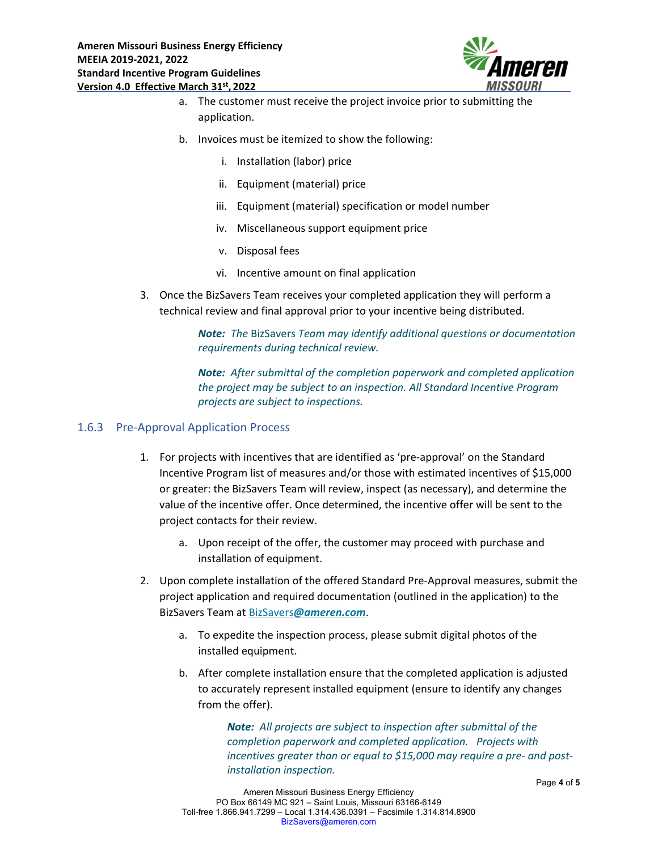

- a. The customer must receive the project invoice prior to submitting the application.
- b. Invoices must be itemized to show the following:
	- i. Installation (labor) price
	- ii. Equipment (material) price
	- iii. Equipment (material) specification or model number
	- iv. Miscellaneous support equipment price
	- v. Disposal fees
	- vi. Incentive amount on final application
- 3. Once the BizSavers Team receives your completed application they will perform a technical review and final approval prior to your incentive being distributed.

*Note: The* BizSavers *Team may identify additional questions or documentation requirements during technical review.* 

*Note: After submittal of the completion paperwork and completed application the project may be subject to an inspection. All Standard Incentive Program projects are subject to inspections.*

#### 1.6.3 Pre‐Approval Application Process

- 1. For projects with incentives that are identified as 'pre‐approval' on the Standard Incentive Program list of measures and/or those with estimated incentives of \$15,000 or greater: the BizSavers Team will review, inspect (as necessary), and determine the value of the incentive offer. Once determined, the incentive offer will be sent to the project contacts for their review.
	- a. Upon receipt of the offer, the customer may proceed with purchase and installation of equipment.
- 2. Upon complete installation of the offered Standard Pre‐Approval measures, submit the project application and required documentation (outlined in the application) to the BizSavers Team at BizSavers*@ameren.com*.
	- a. To expedite the inspection process, please submit digital photos of the installed equipment.
	- b. After complete installation ensure that the completed application is adjusted to accurately represent installed equipment (ensure to identify any changes from the offer).

*Note: All projects are subject to inspection after submittal of the completion paperwork and completed application. Projects with incentives greater than or equal to \$15,000 may require a pre‐ and post‐ installation inspection.*